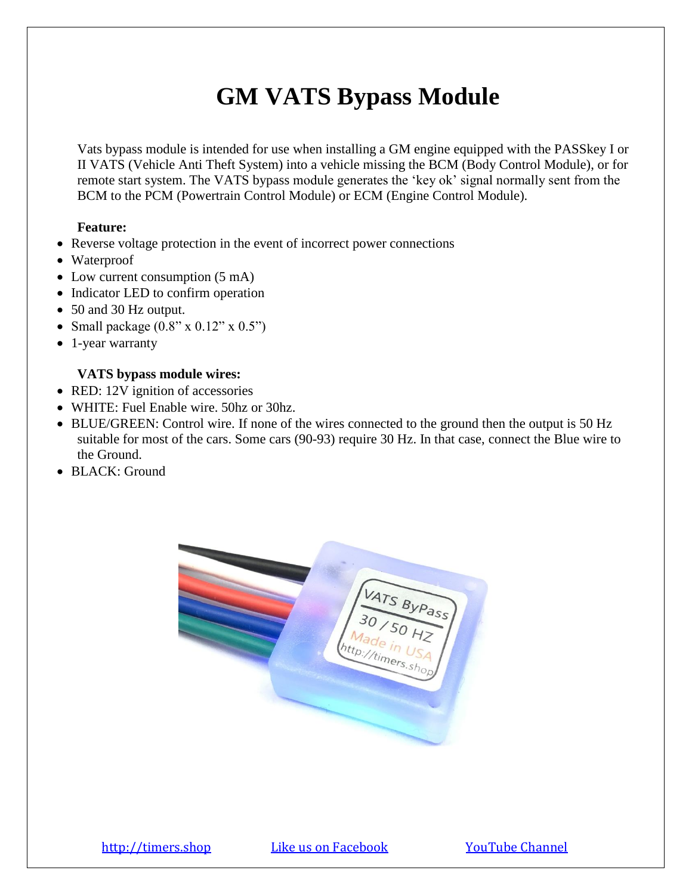# **GM VATS Bypass Module**

Vats bypass module is intended for use when installing a GM engine equipped with the PASSkey I or II VATS (Vehicle Anti Theft System) into a vehicle missing the BCM (Body Control Module), or for remote start system. The VATS bypass module generates the 'key ok' signal normally sent from the BCM to the PCM (Powertrain Control Module) or ECM (Engine Control Module).

# **Feature:**

- Reverse voltage protection in the event of incorrect power connections
- Waterproof
- Low current consumption  $(5 \text{ mA})$
- Indicator LED to confirm operation
- 50 and 30 Hz output.
- Small package  $(0.8" \times 0.12" \times 0.5")$
- 1-year warranty

# **VATS bypass module wires:**

- RED: 12V ignition of accessories
- WHITE: Fuel Enable wire. 50hz or 30hz.
- BLUE/GREEN: Control wire. If none of the wires connected to the ground then the output is 50 Hz suitable for most of the cars. Some cars (90-93) require 30 Hz. In that case, connect the Blue wire to the Ground.
- BLACK: Ground

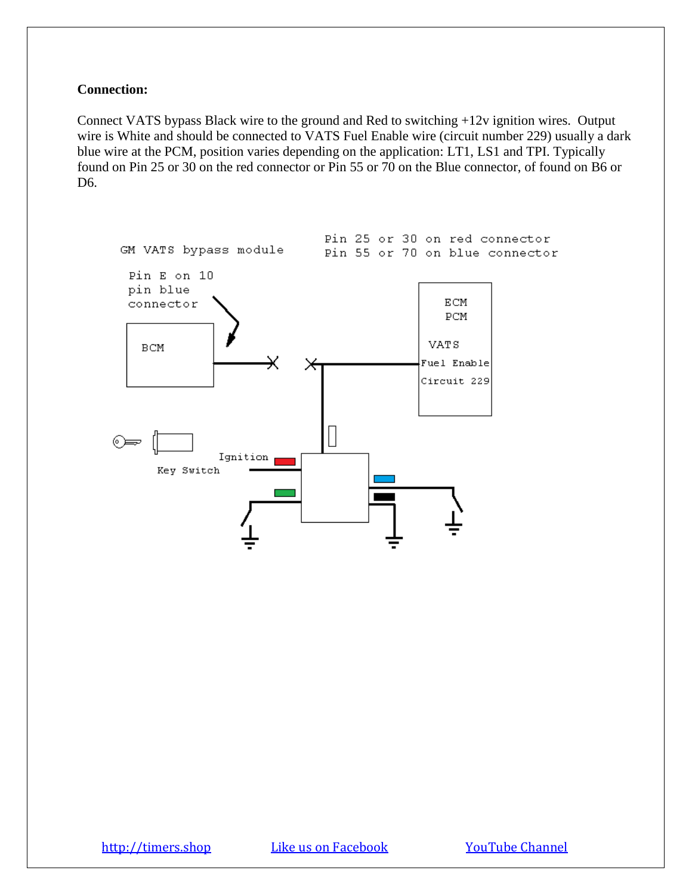## **Connection:**

Connect VATS bypass Black wire to the ground and Red to switching +12v ignition wires. Output wire is White and should be connected to VATS Fuel Enable wire (circuit number 229) usually a dark blue wire at the PCM, position varies depending on the application: LT1, LS1 and TPI. Typically found on Pin 25 or 30 on the red connector or Pin 55 or 70 on the Blue connector, of found on B6 or D6.

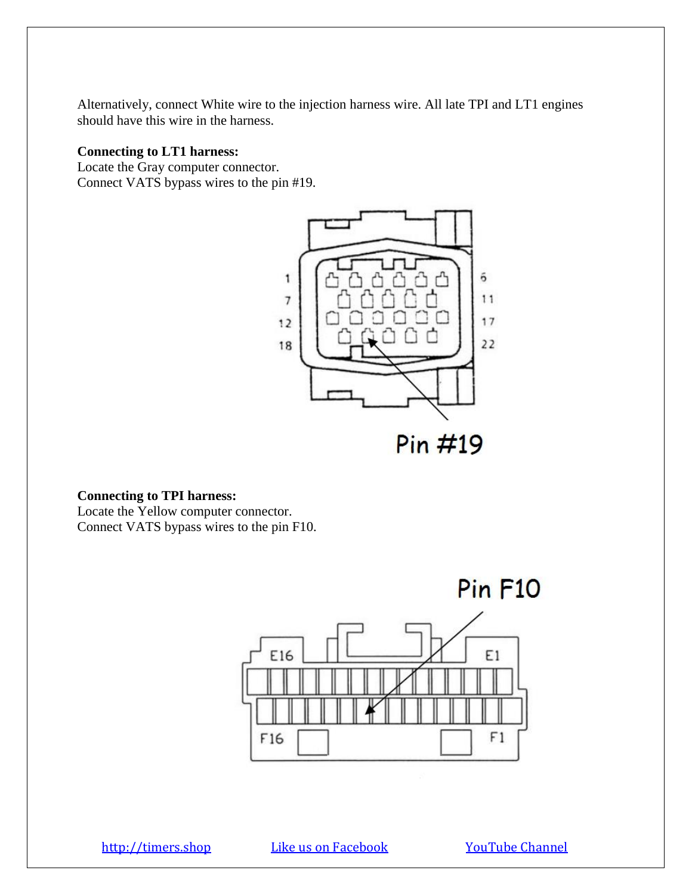Alternatively, connect White wire to the injection harness wire. All late TPI and LT1 engines should have this wire in the harness.

# **Connecting to LT1 harness:**

Locate the Gray computer connector. Connect VATS bypass wires to the pin #19.



#### **Connecting to TPI harness:**

Locate the Yellow computer connector. Connect VATS bypass wires to the pin F10.

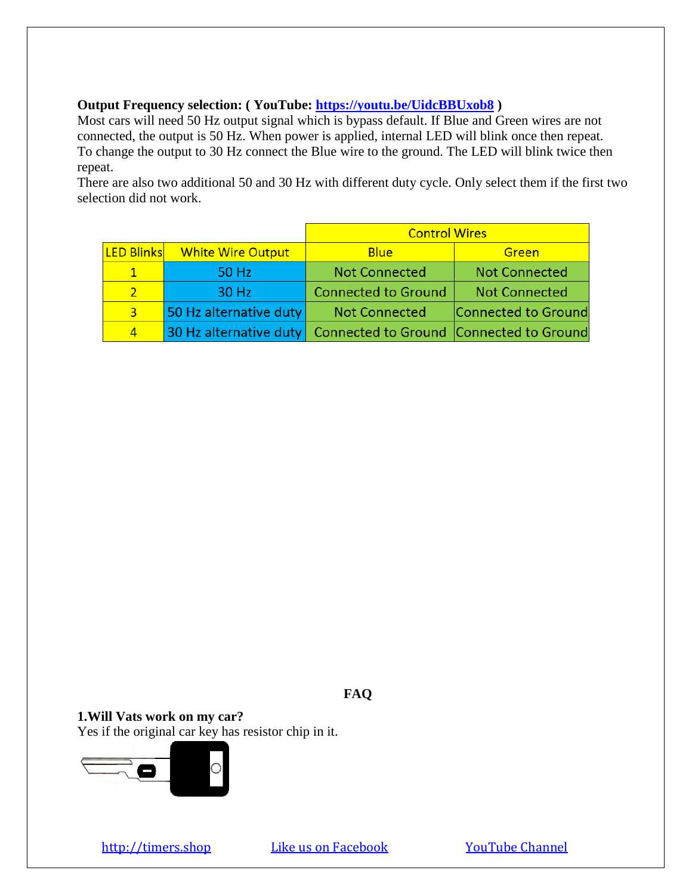## **Output Frequency selection: ( YouTube:<https://youtu.be/UidcBBUxob8> )**

Most cars will need 50 Hz output signal which is bypass default. If Blue and Green wires are not connected, the output is 50 Hz. When power is applied, internal LED will blink once then repeat. To change the output to 30 Hz connect the Blue wire to the ground. The LED will blink twice then repeat.

There are also two additional 50 and 30 Hz with different duty cycle. Only select them if the first two selection did not work.

|                   |                          | <b>Control Wires</b>                                           |                      |
|-------------------|--------------------------|----------------------------------------------------------------|----------------------|
| <b>LED Blinks</b> | <b>White Wire Output</b> | <b>Blue</b>                                                    | Green                |
| 1                 | 50 Hz                    | <b>Not Connected</b>                                           | <b>Not Connected</b> |
|                   | 30 Hz                    | <b>Connected to Ground</b>                                     | <b>Not Connected</b> |
| $\overline{3}$    | 50 Hz alternative duty   | <b>Not Connected</b>                                           | Connected to Ground  |
| 4                 |                          | 30 Hz alternative duty Connected to Ground Connected to Ground |                      |

**FAQ**

**1.Will Vats work on my car?** Yes if the original car key has resistor chip in it.